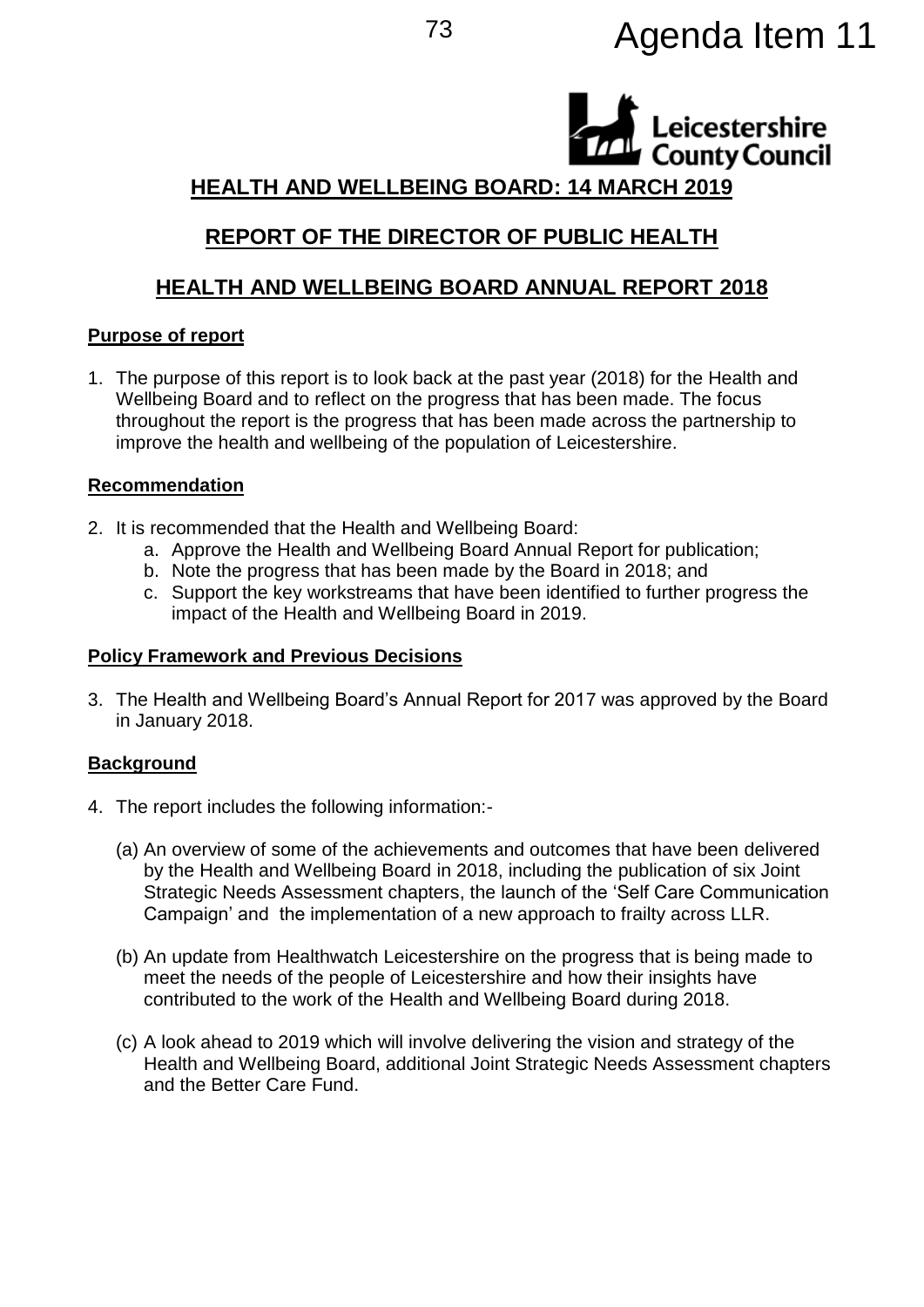# <sup>73</sup> Agenda Item 11

Leicestershire **County Council** 

## **HEALTH AND WELLBEING BOARD: 14 MARCH 2019**

# **REPORT OF THE DIRECTOR OF PUBLIC HEALTH**

# **HEALTH AND WELLBEING BOARD ANNUAL REPORT 2018**

## **Purpose of report**

1. The purpose of this report is to look back at the past year (2018) for the Health and Wellbeing Board and to reflect on the progress that has been made. The focus throughout the report is the progress that has been made across the partnership to improve the health and wellbeing of the population of Leicestershire.

## **Recommendation**

- 2. It is recommended that the Health and Wellbeing Board:
	- a. Approve the Health and Wellbeing Board Annual Report for publication;
	- b. Note the progress that has been made by the Board in 2018; and
	- c. Support the key workstreams that have been identified to further progress the impact of the Health and Wellbeing Board in 2019.

#### **Policy Framework and Previous Decisions**

3. The Health and Wellbeing Board's Annual Report for 2017 was approved by the Board in January 2018.

## **Background**

- 4. The report includes the following information:-
	- (a) An overview of some of the achievements and outcomes that have been delivered by the Health and Wellbeing Board in 2018, including the publication of six Joint Strategic Needs Assessment chapters, the launch of the 'Self Care Communication Campaign' and the implementation of a new approach to frailty across LLR.
	- (b) An update from Healthwatch Leicestershire on the progress that is being made to meet the needs of the people of Leicestershire and how their insights have contributed to the work of the Health and Wellbeing Board during 2018.
	- (c) A look ahead to 2019 which will involve delivering the vision and strategy of the Health and Wellbeing Board, additional Joint Strategic Needs Assessment chapters and the Better Care Fund.